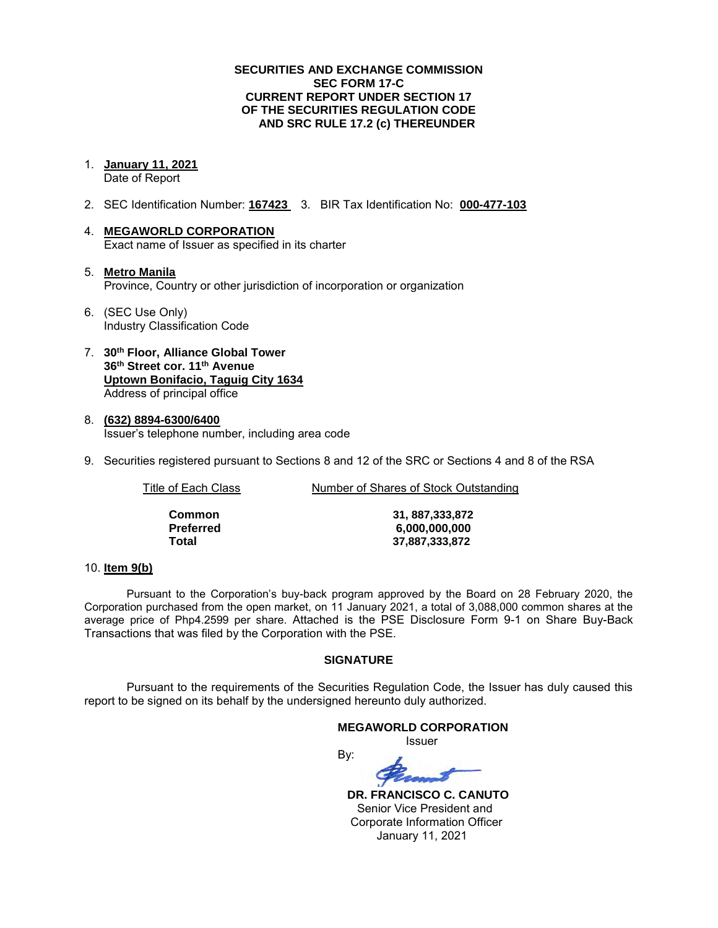## **SECURITIES AND EXCHANGE COMMISSION SEC FORM 17-C CURRENT REPORT UNDER SECTION 17 OF THE SECURITIES REGULATION CODE AND SRC RULE 17.2 (c) THEREUNDER**

- 1. **January 11, 2021**  Date of Report
- 2. SEC Identification Number: **167423** 3. BIR Tax Identification No: **000-477-103**
- 4. **MEGAWORLD CORPORATION**  Exact name of Issuer as specified in its charter
- 5. **Metro Manila** Province, Country or other jurisdiction of incorporation or organization
- 6. (SEC Use Only) Industry Classification Code
- 7. **30th Floor, Alliance Global Tower 36th Street cor. 11th Avenue Uptown Bonifacio, Taguig City 1634** Address of principal office
- 8. **(632) 8894-6300/6400**  Issuer's telephone number, including area code
- 9. Securities registered pursuant to Sections 8 and 12 of the SRC or Sections 4 and 8 of the RSA

Title of Each Class Number of Shares of Stock Outstanding

| Common    |
|-----------|
| Preferred |
| Total     |

**Common 31, 887,333,872 Preferred 6,000,000,000 Total 37,887,333,872**

### 10. **Item 9(b)**

Pursuant to the Corporation's buy-back program approved by the Board on 28 February 2020, the Corporation purchased from the open market, on 11 January 2021, a total of 3,088,000 common shares at the average price of Php4.2599 per share. Attached is the PSE Disclosure Form 9-1 on Share Buy-Back Transactions that was filed by the Corporation with the PSE.

# **SIGNATURE**

Pursuant to the requirements of the Securities Regulation Code, the Issuer has duly caused this report to be signed on its behalf by the undersigned hereunto duly authorized.

### **MEGAWORLD CORPORATION**

*<u>Issuer</u> Issuer Issuer* 

By:

 **DR. FRANCISCO C. CANUTO**  Senior Vice President and Corporate Information Officer January 11, 2021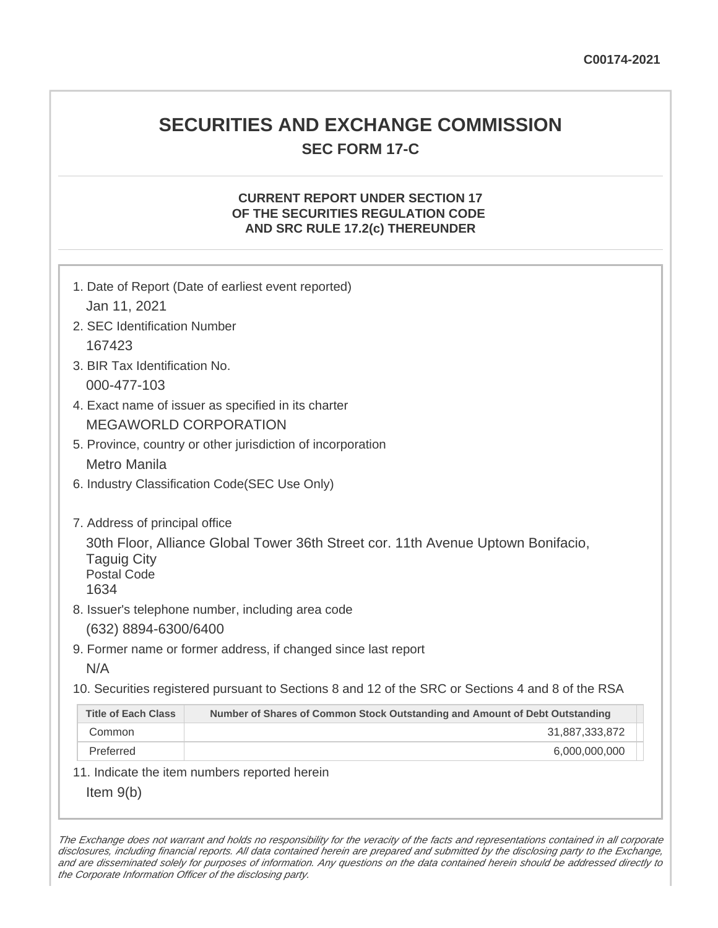# **SECURITIES AND EXCHANGE COMMISSION SEC FORM 17-C**

# **CURRENT REPORT UNDER SECTION 17 OF THE SECURITIES REGULATION CODE AND SRC RULE 17.2(c) THEREUNDER**

| Jan 11, 2021                                                                                                                                                           | 1. Date of Report (Date of earliest event reported)                                               |  |  |  |  |  |
|------------------------------------------------------------------------------------------------------------------------------------------------------------------------|---------------------------------------------------------------------------------------------------|--|--|--|--|--|
| 2. SEC Identification Number                                                                                                                                           |                                                                                                   |  |  |  |  |  |
| 167423                                                                                                                                                                 |                                                                                                   |  |  |  |  |  |
| 3. BIR Tax Identification No.                                                                                                                                          |                                                                                                   |  |  |  |  |  |
|                                                                                                                                                                        |                                                                                                   |  |  |  |  |  |
| 000-477-103                                                                                                                                                            |                                                                                                   |  |  |  |  |  |
| 4. Exact name of issuer as specified in its charter<br><b>MEGAWORLD CORPORATION</b>                                                                                    |                                                                                                   |  |  |  |  |  |
|                                                                                                                                                                        |                                                                                                   |  |  |  |  |  |
|                                                                                                                                                                        | 5. Province, country or other jurisdiction of incorporation                                       |  |  |  |  |  |
|                                                                                                                                                                        | <b>Metro Manila</b>                                                                               |  |  |  |  |  |
|                                                                                                                                                                        | 6. Industry Classification Code(SEC Use Only)                                                     |  |  |  |  |  |
| 7. Address of principal office<br>30th Floor, Alliance Global Tower 36th Street cor. 11th Avenue Uptown Bonifacio,<br><b>Taguig City</b><br><b>Postal Code</b><br>1634 |                                                                                                   |  |  |  |  |  |
|                                                                                                                                                                        | 8. Issuer's telephone number, including area code                                                 |  |  |  |  |  |
| (632) 8894-6300/6400                                                                                                                                                   |                                                                                                   |  |  |  |  |  |
|                                                                                                                                                                        | 9. Former name or former address, if changed since last report                                    |  |  |  |  |  |
| N/A                                                                                                                                                                    |                                                                                                   |  |  |  |  |  |
|                                                                                                                                                                        | 10. Securities registered pursuant to Sections 8 and 12 of the SRC or Sections 4 and 8 of the RSA |  |  |  |  |  |
| <b>Title of Each Class</b>                                                                                                                                             | Number of Shares of Common Stock Outstanding and Amount of Debt Outstanding                       |  |  |  |  |  |
| Common                                                                                                                                                                 | 31,887,333,872                                                                                    |  |  |  |  |  |
| Preferred                                                                                                                                                              | 6,000,000,000                                                                                     |  |  |  |  |  |
|                                                                                                                                                                        | 11. Indicate the item numbers reported herein                                                     |  |  |  |  |  |
| Item $9(b)$                                                                                                                                                            |                                                                                                   |  |  |  |  |  |

The Exchange does not warrant and holds no responsibility for the veracity of the facts and representations contained in all corporate disclosures, including financial reports. All data contained herein are prepared and submitted by the disclosing party to the Exchange, and are disseminated solely for purposes of information. Any questions on the data contained herein should be addressed directly to the Corporate Information Officer of the disclosing party.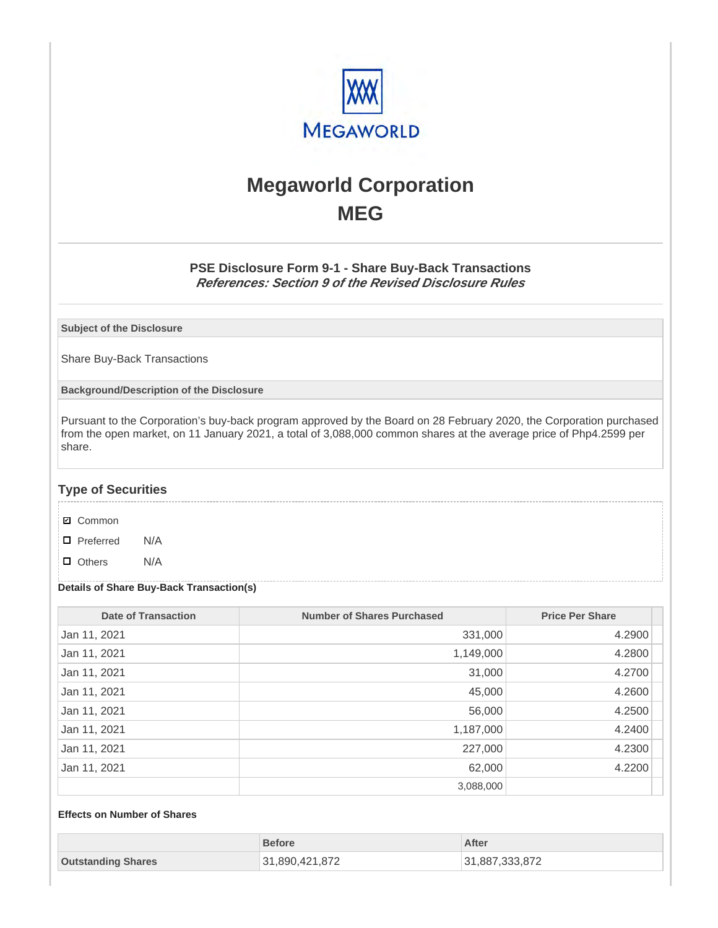

# **Megaworld Corporation MEG**

# **PSE Disclosure Form 9-1 - Share Buy-Back Transactions References: Section 9 of the Revised Disclosure Rules**

**Subject of the Disclosure**

Share Buy-Back Transactions

**Background/Description of the Disclosure**

Pursuant to the Corporation's buy-back program approved by the Board on 28 February 2020, the Corporation purchased from the open market, on 11 January 2021, a total of 3,088,000 common shares at the average price of Php4.2599 per share.

# **Type of Securities**

- **☑** Common
- □ Preferred N/A
- D Others N/A

### **Details of Share Buy-Back Transaction(s)**

| <b>Date of Transaction</b> | <b>Number of Shares Purchased</b> | <b>Price Per Share</b> |
|----------------------------|-----------------------------------|------------------------|
| Jan 11, 2021               | 331,000                           | 4.2900                 |
| Jan 11, 2021               | 1,149,000                         | 4.2800                 |
| Jan 11, 2021               | 31,000                            | 4.2700                 |
| Jan 11, 2021               | 45,000                            | 4.2600                 |
| Jan 11, 2021               | 56,000                            | 4.2500                 |
| Jan 11, 2021               | 1,187,000                         | 4.2400                 |
| Jan 11, 2021               | 227,000                           | 4.2300                 |
| Jan 11, 2021               | 62,000                            | 4.2200                 |
|                            | 3,088,000                         |                        |

## **Effects on Number of Shares**

|                           | <b>Before</b>  | After          |
|---------------------------|----------------|----------------|
| <b>Outstanding Shares</b> | 31,890,421,872 | 31,887,333,872 |